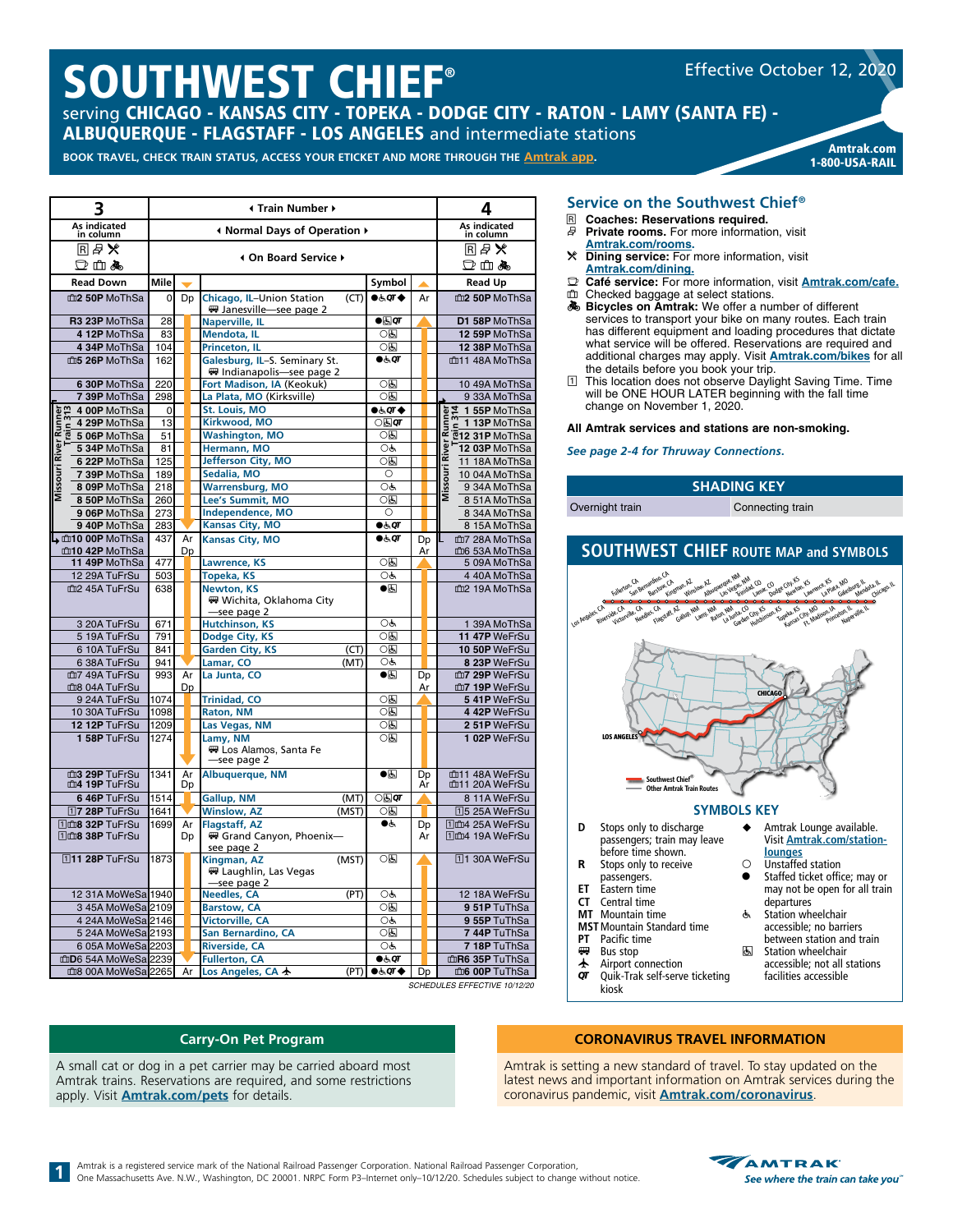#### **Service on the Southwest Chief®** R **Coaches: Reservations required. Private rooms.** For more information, visit **[Amtrak.com/rooms.](https://www.amtrak.com/rooms) 3** 1 **4** Train Number 1 **4 As indicated in column** <sup>3</sup>**Normal Days of Operation**<sup>4</sup> **As indicated in column**  ${\mathbb R}$  a  $\Join$

| Amtrak.com/rooms.                             |
|-----------------------------------------------|
| X Dining service: For more information, visit |
| Amtrak.com/dining.                            |
|                                               |

- **[Amtrak.com/dining](https://www.amtrak.com/onboard-the-train-meals-dining).** y **Café service:** For more information, visit **[Amtrak.com/c](https://www.amtrak.com/cafe)afe.**
- Checked baggage at select stations.
- **& Bicycles on Amtrak:** We offer a number of different services to transport your bike on many routes. Each train has different equipment and loading procedures that dictate what service will be offered. Reservations are required and additional charges may apply. Visit **[Amtrak.com/bikes](https://www.amtrak.com/bikes)** for all the details before you book your trip.
- 1 This location does not observe Daylight Saving Time. Time will be ONE HOUR LATER beginning with the fall time change on November 1, 2020.

#### **All Amtrak services and stations are non-smoking.**

*See page 2-4 for Thruway Connections***.**





#### **SYMBOLS KEY**

- **D** Stops only to discharge passengers; train may leave before time shown.
- **R** Stops only to receive
- passengers.
- **ET** Eastern time **CT** Central time
- **MT** Mountain time
- **MST** Mountain Standard time<br>**PT** Pacific time
- **PT** Pacific time
- esp. Bus stop<br>4 Airport co
- $\overrightarrow{qr}$  Airport connection<br> **QT** Ouik-Trak self-serve Quik-Trak self-serve ticketing kiosk
- Amtrak Lounge available. Visit **[Amtrak.com/station](https://www.amtrak.com/station-lounges)[lounges](https://www.amtrak.com/station-lounges)**

on, IL<br>Naperville, IL rg, IL<br>Mendota, IL<br>Mendota, IL MO<br>Galesburg, IL

**Prince Of Creation** 

a, IL<br>Chicago, IL

 $\mathbb{R}^N$  m<sup>1</sup> urg, IL anta, IL

 $\mathbb{C}$ 

 $\frac{1}{2}$ lle, IL

- $\bigcirc$  Unstaffed station
- Staffed ticket office: may or may not be open for all train departures
- க் Station wheelchair accessible; no barriers between station and train
- **图 Station wheelchair** accessible; not all stations facilities accessible

#### **Carry-On Pet Program**

A small cat or dog in a pet carrier may be carried aboard most Amtrak trains. Reservations are required, and some restrictions apply. Visit **[Amtrak.com/pets](https://www.amtrak.com/pets)** for details.

#### **CORONAVIRUS TRAVEL INFORMATION**

Amtrak is setting a new standard of travel. To stay updated on the latest news and important information on Amtrak services during the coronavirus pandemic, visit **[Amtrak.com/c](https://www.amtrak.com/coronavirus)oronavirus**.

Amtrak is a registered service mark of the National Railroad Passenger Corporation. National Railroad Passenger Corporation,<br>One Massachusetts Ave. N.W., Washington, DC 20001. NRPC Form P3-Internet only-10/12/20. Schedules





## SOUTHWEST CHIEF® serving CHICAGO - KANSAS CITY - TOPEKA - DODGE CITY - RATON - LAMY (SANTA FE) -

ALBUQUERQUE - FLAGSTAFF - LOS ANGELES and intermediate stations

**BOOK TRAVEL, CHECK TRAIN STATUS, ACCESS YOUR ETICKET AND MORE THROUGH THE [Amtrak app](https://www.amtrak.com/mobile). Amtrak app Amtrak.com 1-900-USA-PAU** 

|                  | in column                                          | I NOMIC DAYS OF OPERATION P |                      |    |                                                              |                           |    | in column |                              |  |
|------------------|----------------------------------------------------|-----------------------------|----------------------|----|--------------------------------------------------------------|---------------------------|----|-----------|------------------------------|--|
| 国母※              |                                                    |                             |                      |    |                                                              |                           |    |           | 国母※                          |  |
| 口血晶              |                                                    |                             | 4 On Board Service ▶ |    |                                                              |                           |    | 口血晶       |                              |  |
| <b>Read Down</b> |                                                    | Mile                        |                      |    |                                                              | Symbol                    |    |           | <b>Read Up</b>               |  |
|                  | m2 50P MoThSa                                      | Dp<br>0                     |                      |    | Chicago, IL-Union Station<br>(CT)<br>₩ Janesville-see page 2 | $0.50T$ $\blacklozenge$   | Ar |           | m2 50P MoThSa                |  |
|                  | R3 23P MoThSa                                      | 28                          |                      |    | Naperville, IL                                               | $\bullet$                 |    |           | D1 58P MoThSa                |  |
|                  | 412P MoThSa                                        | 83                          |                      |    | Mendota, IL                                                  | 0回                        |    |           | 12 59P MoThSa                |  |
|                  | 4 34P MoThSa                                       | 104                         |                      |    | Princeton, IL                                                | ○६                        |    |           | 12 38P MoThSa                |  |
|                  | m5 26P MoThSa                                      | 162                         |                      |    | Galesburg, IL-S. Seminary St.<br>₩ Indianapolis-see page 2   | $\bullet$ க்ர             |    |           | m11 48A MoThSa               |  |
|                  | 6 30P MoThSa                                       | 220                         |                      |    | Fort Madison, IA (Keokuk)                                    | ০ন্ড                      |    |           | 10 49A MoThSa                |  |
|                  | 7 39P MoThSa                                       | 298                         |                      |    | La Plata, MO (Kirksville)                                    | OG                        |    |           | 9 33A MoThSa                 |  |
|                  | 4 00P MoThSa                                       | 0                           |                      |    | St. Louis, MO                                                | ● ఉ.QT ♦                  |    |           | ner<br>314<br>1 55P MoThSa   |  |
|                  | Missouri River Runner<br>Train 313<br>4 29P MoThSa | 13                          |                      |    | Kirkwood, MO                                                 | $\bigcirc$ ह्य $\sigma$   |    |           | 1 13P MoThSa                 |  |
|                  | 5 06P MoThSa                                       | 51                          |                      |    | <b>Washington, MO</b>                                        | 0ख                        |    |           | Rui<br><b>E12 31P</b> MoThSa |  |
|                  | 5 34P MoThSa                                       | 81                          |                      |    | Hermann, MO                                                  | OĠ                        |    |           | ō<br><b>12 03P</b> MoThSa    |  |
|                  | 6 22P MoThSa                                       | 125                         |                      |    | Jefferson City, MO                                           | 0ख                        |    |           | ۴ž<br>11 18A MoThSa          |  |
|                  | 7 39P MoThSa                                       | 189                         |                      |    | Sedalia, MO                                                  | $\bigcirc$                |    |           | ssouri<br>10 04A MoThSa      |  |
|                  | 8 09P MoThSa                                       | 218                         |                      |    | <b>Warrensburg, MO</b>                                       | OĠ                        |    |           | 9 34A MoThSa                 |  |
|                  | 8 50P MoThSa                                       | 260                         |                      |    | Lee's Summit, MO                                             | 0固                        |    |           | 8 51A MoThSa                 |  |
|                  | 9 06P MoThSa                                       | 273                         |                      |    | <b>Independence, MO</b>                                      | $\circ$                   |    |           | 8 34A MoThSa                 |  |
|                  | 9 40P MoThSa                                       | 283                         |                      |    | <b>Kansas City, MO</b>                                       | $\bullet \in \mathsf{QT}$ |    |           | 8 15A MoThSa                 |  |
|                  |                                                    | 437                         |                      | Ar | <b>Kansas City, MO</b>                                       | $\bullet$ க்ர             | Dp |           | 血7 28A MoThSa                |  |
|                  | m10 42P MoThSa                                     |                             |                      | Dp |                                                              |                           | Ar |           | 血6 53A MoThSa                |  |
|                  | 11 49P MoThSa                                      | 477                         |                      |    | <b>Lawrence, KS</b>                                          | 0固                        |    |           | 5 09A MoThSa                 |  |
|                  | 12 29A TuFrSu                                      | 503                         |                      |    | Topeka, KS                                                   | OĠ                        |    |           | 4 40A MoThSa                 |  |
|                  | m2 45A TuFrSu                                      | 638                         |                      |    | <b>Newton, KS</b>                                            | $\bullet$                 |    |           | m2 19A MoThSa                |  |
|                  |                                                    |                             |                      |    | Wichita, Oklahoma City<br>see page 2                         |                           |    |           |                              |  |
|                  | 3 20A TuFrSu                                       | 671                         |                      |    | Hutchinson, KS                                               | OĠ,                       |    |           | 1 39A MoThSa                 |  |
|                  | 5 19A TuFrSu                                       | 791                         |                      |    | Dodge City, KS                                               | 0固                        |    |           | 11 47P WeFrSu                |  |
|                  | 6 10A TuFrSu                                       | 841                         |                      |    | <b>Garden City, KS</b><br>(CT)                               | 0ख                        |    |           | 10 50P WeFrSu                |  |
|                  | 6 38A TuFrSu                                       | 941                         |                      |    | Lamar, CO<br>(MT)                                            | OĠ                        |    |           | 8 23P WeFrSu                 |  |
|                  | 血7 49A TuFrSu                                      | 993                         |                      | Ar | La Junta, CO                                                 | $\bullet$                 | Dp |           | m7 29P WeFrSu                |  |
|                  | ma 04A TuFrSu                                      |                             |                      | Dp |                                                              |                           | Ar |           | 血7 19P WeFrSu                |  |
|                  | 9 24A TuFrSu                                       | 1074                        |                      |    | <b>Trinidad, CO</b>                                          | 0固                        |    |           | 5 41P WeFrSu                 |  |
|                  | 10 30A TuFrSu                                      | 1098                        |                      |    | Raton, NM                                                    | 0固                        |    |           | 4 42P WeFrSu                 |  |
|                  | 12 12P TuFrSu                                      | 1209                        |                      |    | Las Vegas, NM                                                | 0固                        |    |           | 2 51P WeFrSu                 |  |
|                  | 158P TuFrSu                                        | 1274                        |                      |    | Lamy, NM<br>₩ Los Alamos, Santa Fe<br>-see page 2            | ○६                        |    |           | 102P WeFrSu                  |  |
|                  | m3 29P TuFrSu                                      | 1341                        |                      | Ar | Albuquerque, NM                                              | $\bullet$                 | Dp |           | m11 48A WeFrSu               |  |
|                  | m4 19P TuFrSu                                      |                             |                      | Dp |                                                              |                           | Ar |           | m11 20A WeFrSu               |  |
|                  | 6 46P TuFrSu                                       | 1514                        |                      |    | Gallup, NM<br>(MT)                                           | $\bigcirc$ ह्युवा         |    |           | 8 11A WeFrSu                 |  |
|                  | 17 28P TuFrSu                                      | 1641                        |                      |    | <b>Winslow, AZ</b><br>(MST)                                  | $\circ$                   |    |           | 15 25A WeFrSu                |  |
|                  | 1位8 32P TuFrSu                                     | 1699                        |                      | Ar | Flagstaff, AZ                                                | ●೬                        | Dp |           | 11血4 25A WeFrSu              |  |
|                  | 1位8 38P TuFrSu                                     | Dp                          |                      |    | ed Grand Canyon, Phoenix-<br>see page 2                      |                           | Ar |           | 11血4 19A WeFrSu              |  |
|                  | 11 28P TuFrSu                                      | 1873                        |                      |    | Kingman, AZ<br>(MST)<br>R Laughlin, Las Vegas<br>see page 2  | 0固                        |    |           | 11 30A WeFrSu                |  |
|                  | 12 31A MoWeSa 1940                                 |                             |                      |    | <b>Needles, CA</b><br>(PT)                                   | OĠ,                       |    |           | 12 18A WeFrSu                |  |
|                  | 3 45A MoWeSa 2109                                  |                             |                      |    | <b>Barstow, CA</b>                                           | ○६                        |    |           | 951P TuThSa                  |  |
|                  | 4 24A MoWeSa 2146                                  |                             |                      |    | Victorville, CA                                              | OĠ                        |    |           | 955P TuThSa                  |  |
|                  | 5 24A MoWeSa 2193                                  |                             |                      |    | San Bernardino, CA                                           | ○६                        |    |           | 744P TuThSa                  |  |
|                  | 6 05A MoWeSa 2203                                  |                             |                      |    | Riverside, CA                                                | OĠ                        |    |           | 7 18P TuThSa                 |  |
|                  | mD6 54A MoWeSa 2239                                |                             |                      |    | <b>Fullerton, CA</b>                                         | $\bullet \in \mathsf{QT}$ |    |           | mR6 35P TuThSa               |  |
|                  | 血8 00A MoWeSa 2265                                 |                             |                      | Ar | Los Angeles, CA 卡                                            | (PT)  ●க் <i>α</i> ர ✦    | Dp |           | m6 00P TuThSa                |  |
|                  |                                                    |                             |                      |    |                                                              |                           |    |           |                              |  |

### *SCHEDULES EFFECTIVE 10/12/20*

1-800-USA-RAIL

Effective October 12, 2020